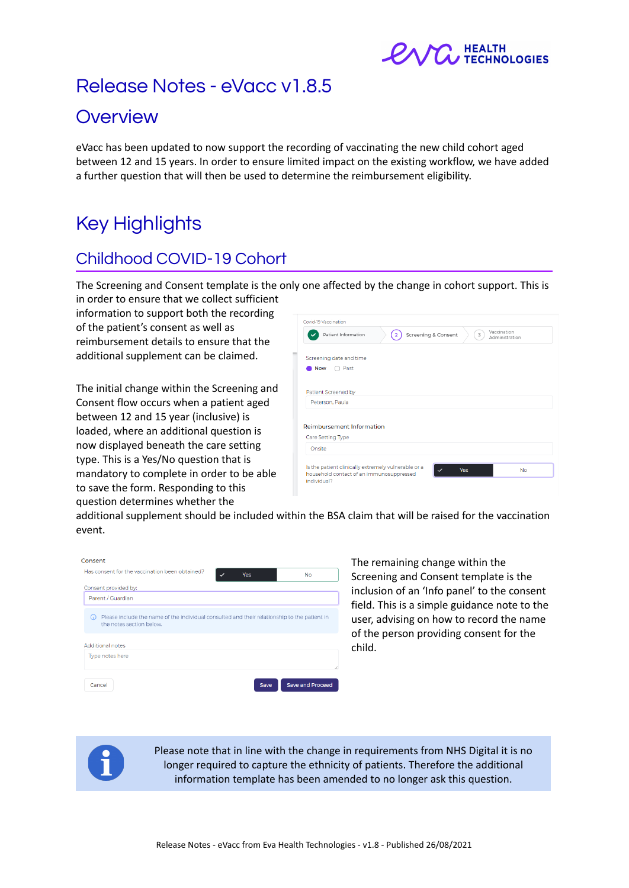

# Release Notes - eVacc v1.8.5

# **Overview**

eVacc has been updated to now support the recording of vaccinating the new child cohort aged between 12 and 15 years. In order to ensure limited impact on the existing workflow, we have added a further question that will then be used to determine the reimbursement eligibility.

# Key Highlights

# Childhood COVID-19 Cohort

The Screening and Consent template is the only one affected by the change in cohort support. This is in order to ensure that we collect sufficient

information to support both the recording of the patient's consent as well as reimbursement details to ensure that the additional supplement can be claimed.

The initial change within the Screening and Consent flow occurs when a patient aged between 12 and 15 year (inclusive) is loaded, where an additional question is now displayed beneath the care setting type. This is a Yes/No question that is mandatory to complete in order to be able to save the form. Responding to this question determines whether the

|        | Patient Information                                 | $\overline{2}$ | Screening & Consent | Vaccination<br>3<br>Administration |  |
|--------|-----------------------------------------------------|----------------|---------------------|------------------------------------|--|
|        |                                                     |                |                     |                                    |  |
|        | Screening date and time                             |                |                     |                                    |  |
|        | Past<br><b>Now</b>                                  |                |                     |                                    |  |
|        |                                                     |                |                     |                                    |  |
|        | Patient Screened by                                 |                |                     |                                    |  |
|        |                                                     |                |                     |                                    |  |
|        | Peterson, Paula                                     |                |                     |                                    |  |
|        |                                                     |                |                     |                                    |  |
|        |                                                     |                |                     |                                    |  |
|        | <b>Reimbursement Information</b>                    |                |                     |                                    |  |
|        | Care Setting Type                                   |                |                     |                                    |  |
| Onsite |                                                     |                |                     |                                    |  |
|        | Is the patient clinically extremely vulnerable or a |                |                     |                                    |  |

additional supplement should be included within the BSA claim that will be raised for the vaccination event.

| Consent                                                                                                                         |                |                         |
|---------------------------------------------------------------------------------------------------------------------------------|----------------|-------------------------|
| Has consent for the vaccination been obtained?                                                                                  | $\cdot$<br>Yes | <b>No</b>               |
| Consent provided by:                                                                                                            |                |                         |
| Parent / Guardian                                                                                                               |                |                         |
| Please include the name of the individual consulted and their relationship to the patient in<br>(i)<br>the notes section below. |                |                         |
| <b>Additional notes</b>                                                                                                         |                |                         |
| Type notes here                                                                                                                 |                |                         |
|                                                                                                                                 |                |                         |
| Cancel                                                                                                                          | Save           | <b>Save and Proceed</b> |

The remaining change within the Screening and Consent template is the inclusion of an 'Info panel' to the consent field. This is a simple guidance note to the user, advising on how to record the name of the person providing consent for the child.



Please note that in line with the change in requirements from NHS Digital it is no longer required to capture the ethnicity of patients. Therefore the additional information template has been amended to no longer ask this question.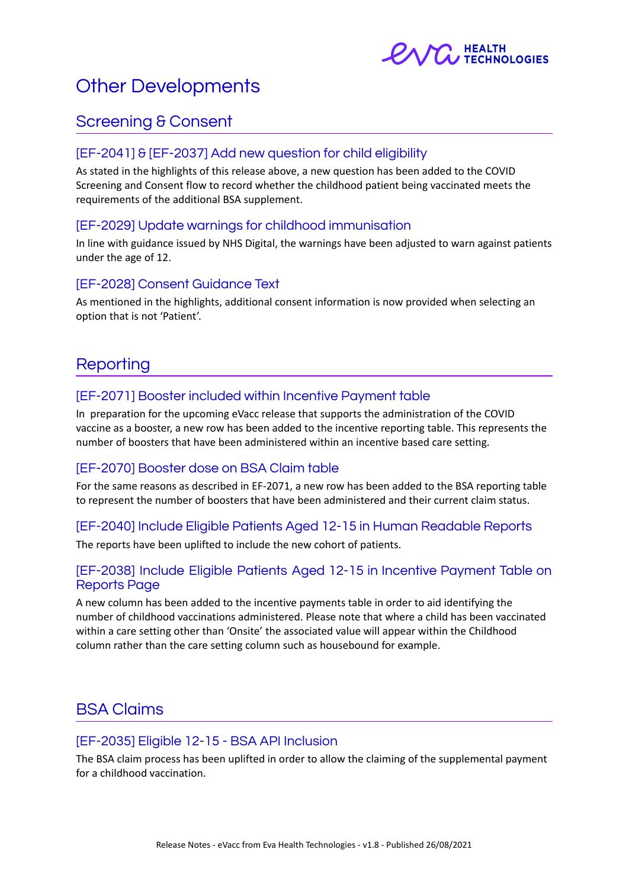

# Other Developments

### Screening & Consent

#### [EF-2041] & [EF-2037] Add new question for child eligibility

As stated in the highlights of this release above, a new question has been added to the COVID Screening and Consent flow to record whether the childhood patient being vaccinated meets the requirements of the additional BSA supplement.

#### [EF-2029] Update warnings for childhood immunisation

In line with guidance issued by NHS Digital, the warnings have been adjusted to warn against patients under the age of 12.

#### [EF-2028] Consent Guidance Text

As mentioned in the highlights, additional consent information is now provided when selecting an option that is not 'Patient'.

## **Reporting**

#### [EF-2071] Booster included within Incentive Payment table

In preparation for the upcoming eVacc release that supports the administration of the COVID vaccine as a booster, a new row has been added to the incentive reporting table. This represents the number of boosters that have been administered within an incentive based care setting.

#### [EF-2070] Booster dose on BSA Claim table

For the same reasons as described in EF-2071, a new row has been added to the BSA reporting table to represent the number of boosters that have been administered and their current claim status.

#### [EF-2040] Include Eligible Patients Aged 12-15 in Human Readable Reports

The reports have been uplifted to include the new cohort of patients.

#### [EF-2038] Include Eligible Patients Aged 12-15 in Incentive Payment Table on Reports Page

A new column has been added to the incentive payments table in order to aid identifying the number of childhood vaccinations administered. Please note that where a child has been vaccinated within a care setting other than 'Onsite' the associated value will appear within the Childhood column rather than the care setting column such as housebound for example.

### BSA Claims

#### [EF-2035] Eligible 12-15 - BSA API Inclusion

The BSA claim process has been uplifted in order to allow the claiming of the supplemental payment for a childhood vaccination.